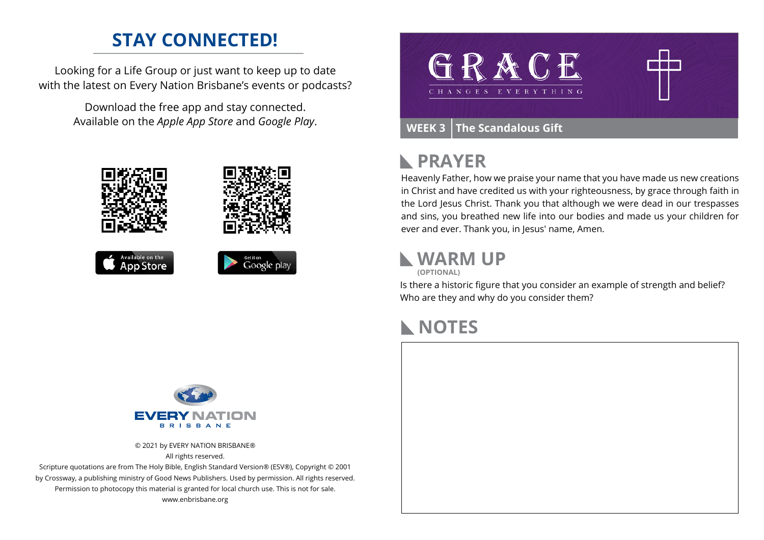### **STAY CONNECTED!**

Looking for a Life Group or just want to keep up to date with the latest on Every Nation Brisbane's events or podcasts?

> Download the free app and stay connected. Available on the *Apple App Store* and *Google Play*.









#### **PRAYER**  $\blacktriangleright$

Heavenly Father, how we praise your name that you have made us new creations in Christ and have credited us with your righteousness, by grace through faith in the Lord Jesus Christ. Thank you that although we were dead in our trespasses and sins, you breathed new life into our bodies and made us your children for ever and ever. Thank you, in Jesus' name, Amen.

# **WARM UP**

**(OPTIONAL)**

Is there a historic figure that you consider an example of strength and belief? Who are they and why do you consider them?

#### **NOTES**



© 2021 by EVERY NATION BRISBANE® All rights reserved.

Scripture quotations are from The Holy Bible, English Standard Version® (ESV®), Copyright © 2001 by Crossway, a publishing ministry of Good News Publishers. Used by permission. All rights reserved. Permission to photocopy this material is granted for local church use. This is not for sale. www.enbrisbane.org